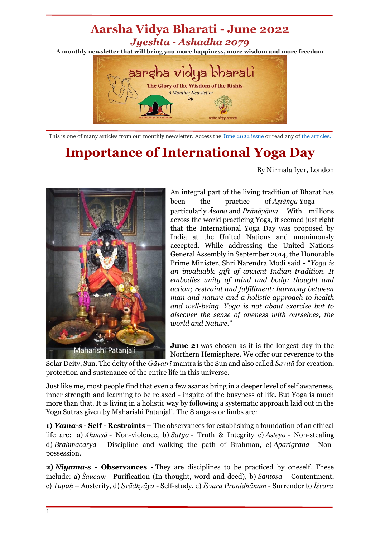## **Aarsha Vidya Bharati - June 2022** *Jyeshta - Ashadha 2079* **A monthly newsletter that will bring you more happiness, more wisdom and more freedom**



This is one of many articles from our monthly newsletter. Access the [June](https://mailchi.mp/7495db30a7ea/aarsha-vidya-bharati-jun2022) 2022 issue or read any o[f the articles.](https://discoveratma.com/our-monthly-newsletter/)

## **Importance of International Yoga Day**

By Nirmala Iyer, London



An integral part of the living tradition of Bharat has been the practice of *Aṣtāṅga* Yoga – particularly *Āsana* and *Prāṇāyāma*. With millions across the world practicing Yoga, it seemed just right that the International Yoga Day was proposed by India at the United Nations and unanimously accepted. While addressing the United Nations General Assembly in September 2014, the Honorable Prime Minister, Shri Narendra Modi said - "*Yoga is an invaluable gift of ancient Indian tradition. It embodies unity of mind and body; thought and action; restraint and fulfillment; harmony between man and nature and a holistic approach to health and well-being. Yoga is not about exercise but to discover the sense of oneness with ourselves, the world and Nature.*"

**June 21** was chosen as it is the longest day in the Northern Hemisphere. We offer our reverence to the

Solar Deity, Sun. The deity of the *Gāyatrī* mantra is the Sun and also called *Savitā* for creation, protection and sustenance of the entire life in this universe.

Just like me, most people find that even a few asanas bring in a deeper level of self awareness, inner strength and learning to be relaxed - inspite of the busyness of life. But Yoga is much more than that. It is living in a holistic way by following a systematic approach laid out in the Yoga Sutras given by Maharishi Patanjali. The 8 anga-s or limbs are:

**1)** *Yama***-s - Self - Restraints –** The observances for establishing a foundation of an ethical life are: a) *Ahimsā* - Non-violence, b) *Satya* - Truth & Integrity c) *Asteya* - Non-stealing d) *Brahmacarya* – Discipline and walking the path of Brahman, e) *Aparigraha* - Nonpossession.

**2)** *Niyama***-s - Observances -** They are disciplines to be practiced by oneself. These include: a) *Saucam* - Purification (In thought, word and deed), b) *Santosa* – Contentment, c) *Tapaḥ* – Austerity, d) *Svādhyāya* - Self-study, e) *Īśvara Praṇidhānam* - Surrender to *Īśvara*